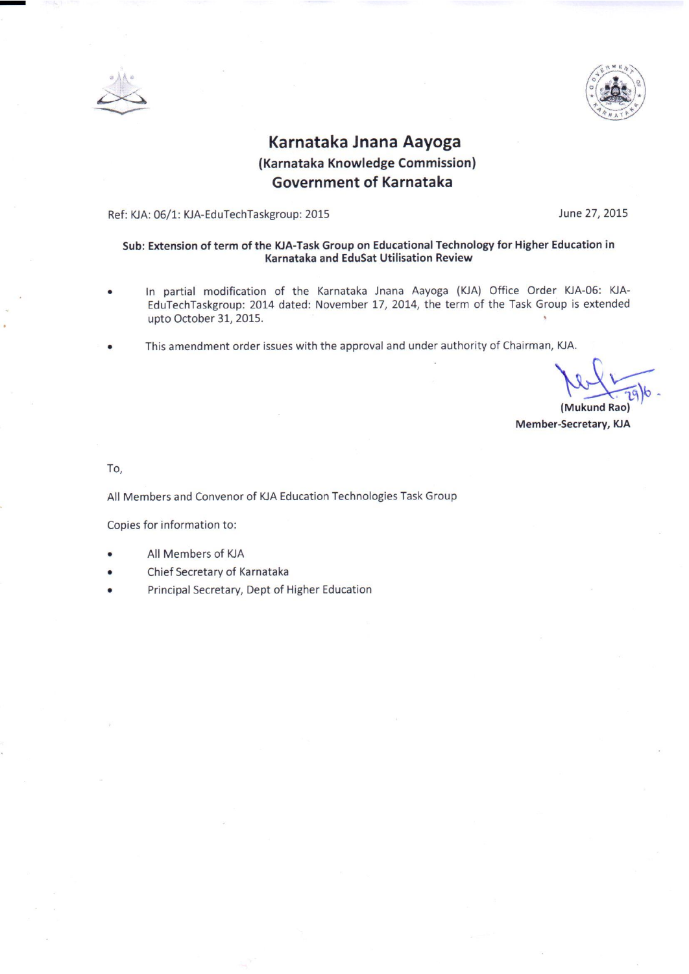



## Karnataka Jnana Aayoga (Karnataka Knowledge Commission) **Government of Karnataka**

Ref: KJA: 06/1: KJA-EduTechTaskgroup: 2015

June 27, 2015

#### Sub: Extension of term of the KJA-Task Group on Educational Technology for Higher Education in Karnataka and EduSat Utilisation Review

- In partial modification of the Karnataka Jnana Aayoga (KJA) Office Order KJA-06: KJA-EduTechTaskgroup: 2014 dated: November 17, 2014, the term of the Task Group is extended upto October 31, 2015.
- This amendment order issues with the approval and under authority of Chairman, KJA.

(Mukund Rao) Member-Secretary, KJA

To.

All Members and Convenor of KJA Education Technologies Task Group

Copies for information to:

- All Members of KJA
- Chief Secretary of Karnataka
- Principal Secretary, Dept of Higher Education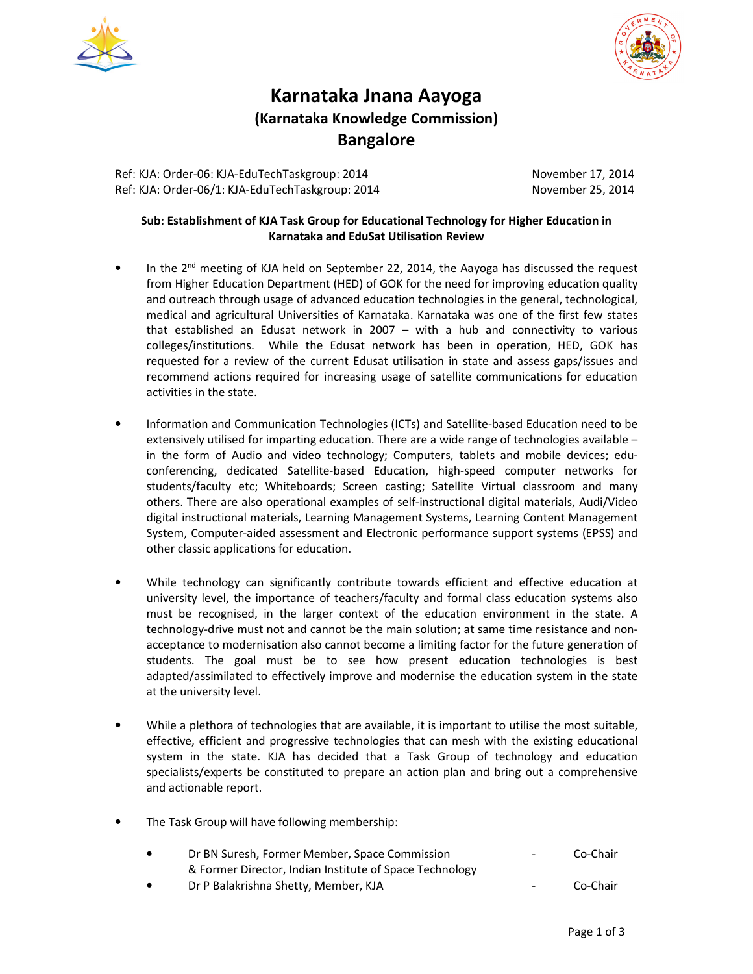



# **Karnataka Jnana Aayoga (Karnataka Knowledge Commission) Bangalore**

Ref: KJA: Order-06: KJA-EduTechTaskgroup: 2014 November 17, 2014 Ref: KJA: Order-06/1: KJA-EduTechTaskgroup: 2014 November 25, 2014

### **Sub: Establishment of KJA Task Group for Educational Technology for Higher Education in Karnataka and EduSat Utilisation Review**

- In the 2<sup>nd</sup> meeting of KJA held on September 22, 2014, the Aayoga has discussed the request from Higher Education Department (HED) of GOK for the need for improving education quality and outreach through usage of advanced education technologies in the general, technological, medical and agricultural Universities of Karnataka. Karnataka was one of the first few states that established an Edusat network in 2007 – with a hub and connectivity to various colleges/institutions. While the Edusat network has been in operation, HED, GOK has requested for a review of the current Edusat utilisation in state and assess gaps/issues and recommend actions required for increasing usage of satellite communications for education activities in the state.
- Information and Communication Technologies (ICTs) and Satellite-based Education need to be extensively utilised for imparting education. There are a wide range of technologies available – in the form of Audio and video technology; Computers, tablets and mobile devices; educonferencing, dedicated Satellite-based Education, high-speed computer networks for students/faculty etc; Whiteboards; Screen casting; Satellite Virtual classroom and many others. There are also operational examples of self-instructional digital materials, Audi/Video digital instructional materials, Learning Management Systems, Learning Content Management System, Computer-aided assessment and Electronic performance support systems (EPSS) and other classic applications for education.
- While technology can significantly contribute towards efficient and effective education at university level, the importance of teachers/faculty and formal class education systems also must be recognised, in the larger context of the education environment in the state. A technology-drive must not and cannot be the main solution; at same time resistance and nonacceptance to modernisation also cannot become a limiting factor for the future generation of students. The goal must be to see how present education technologies is best adapted/assimilated to effectively improve and modernise the education system in the state at the university level.
- While a plethora of technologies that are available, it is important to utilise the most suitable, effective, efficient and progressive technologies that can mesh with the existing educational system in the state. KJA has decided that a Task Group of technology and education specialists/experts be constituted to prepare an action plan and bring out a comprehensive and actionable report.
- The Task Group will have following membership:

| $\bullet$ | Dr BN Suresh, Former Member, Space Commission           | $\sim$ 10 $\,$   | Co-Chair |
|-----------|---------------------------------------------------------|------------------|----------|
|           | & Former Director, Indian Institute of Space Technology |                  |          |
| $\bullet$ | Dr P Balakrishna Shetty, Member, KJA                    | $\sim$ 100 $\mu$ | Co-Chair |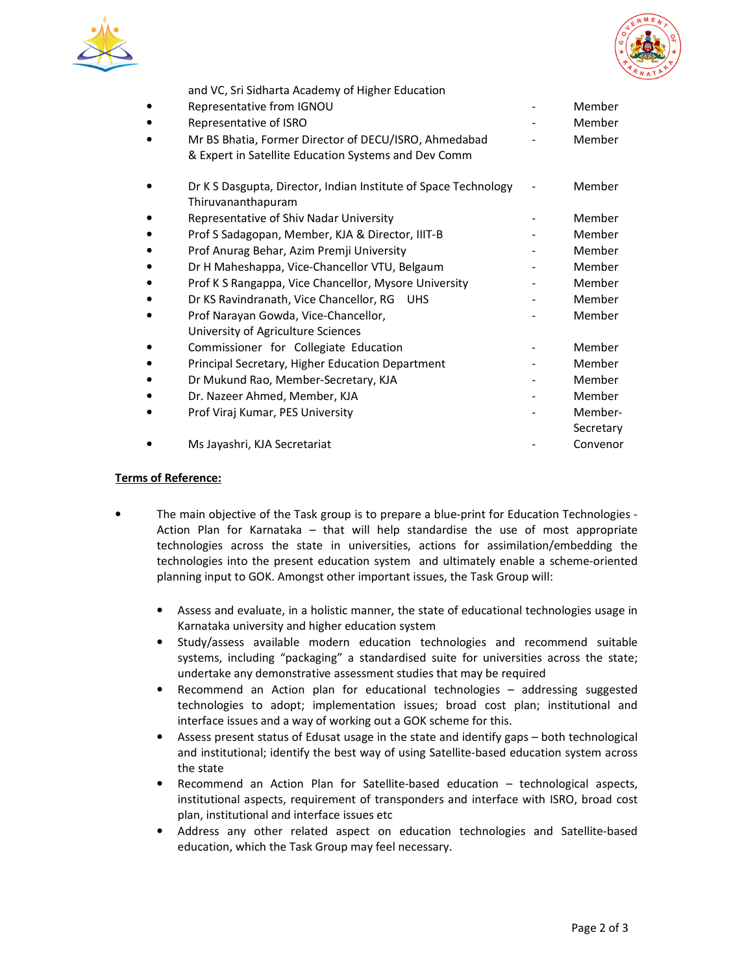



and VC, Sri Sidharta Academy of Higher Education

| Representative from IGNOU                                                                                     | Member               |
|---------------------------------------------------------------------------------------------------------------|----------------------|
| Representative of ISRO                                                                                        | Member               |
| Mr BS Bhatia, Former Director of DECU/ISRO, Ahmedabad<br>& Expert in Satellite Education Systems and Dev Comm | Member               |
| Dr K S Dasgupta, Director, Indian Institute of Space Technology<br>Thiruvananthapuram                         | Member               |
| Representative of Shiv Nadar University                                                                       | Member               |
| Prof S Sadagopan, Member, KJA & Director, IIIT-B                                                              | Member               |
| Prof Anurag Behar, Azim Premji University                                                                     | Member               |
| Dr H Maheshappa, Vice-Chancellor VTU, Belgaum                                                                 | Member               |
| Prof K S Rangappa, Vice Chancellor, Mysore University                                                         | Member               |
| Dr KS Ravindranath, Vice Chancellor, RG<br><b>UHS</b>                                                         | Member               |
| Prof Narayan Gowda, Vice-Chancellor,<br>University of Agriculture Sciences                                    | Member               |
| Commissioner for Collegiate Education                                                                         | Member               |
| Principal Secretary, Higher Education Department                                                              | Member               |
| Dr Mukund Rao, Member-Secretary, KJA                                                                          | Member               |
| Dr. Nazeer Ahmed, Member, KJA                                                                                 | Member               |
| Prof Viraj Kumar, PES University                                                                              | Member-<br>Secretary |
| Ms Jayashri, KJA Secretariat                                                                                  | Convenor             |

#### **Terms of Reference:**

- The main objective of the Task group is to prepare a blue-print for Education Technologies Action Plan for Karnataka – that will help standardise the use of most appropriate technologies across the state in universities, actions for assimilation/embedding the technologies into the present education system and ultimately enable a scheme-oriented planning input to GOK. Amongst other important issues, the Task Group will:
	- Assess and evaluate, in a holistic manner, the state of educational technologies usage in Karnataka university and higher education system
	- Study/assess available modern education technologies and recommend suitable systems, including "packaging" a standardised suite for universities across the state; undertake any demonstrative assessment studies that may be required
	- Recommend an Action plan for educational technologies addressing suggested technologies to adopt; implementation issues; broad cost plan; institutional and interface issues and a way of working out a GOK scheme for this.
	- Assess present status of Edusat usage in the state and identify gaps both technological and institutional; identify the best way of using Satellite-based education system across the state
	- Recommend an Action Plan for Satellite-based education technological aspects, institutional aspects, requirement of transponders and interface with ISRO, broad cost plan, institutional and interface issues etc
	- Address any other related aspect on education technologies and Satellite-based education, which the Task Group may feel necessary.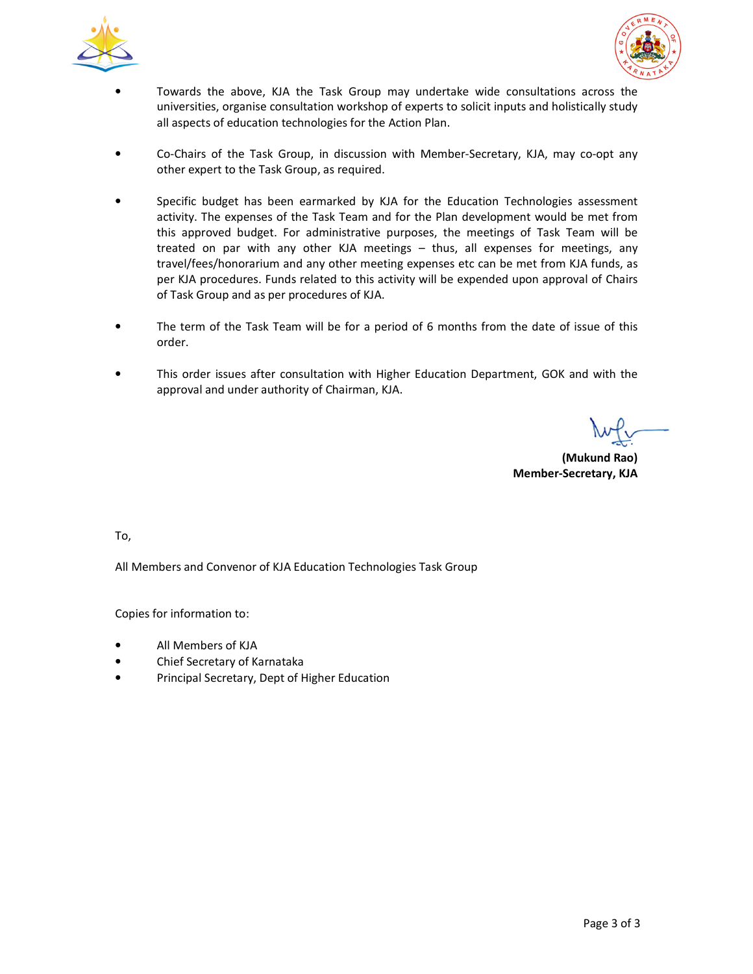



- Towards the above, KJA the Task Group may undertake wide consultations across the universities, organise consultation workshop of experts to solicit inputs and holistically study all aspects of education technologies for the Action Plan.
- Co-Chairs of the Task Group, in discussion with Member-Secretary, KJA, may co-opt any other expert to the Task Group, as required.
- Specific budget has been earmarked by KJA for the Education Technologies assessment activity. The expenses of the Task Team and for the Plan development would be met from this approved budget. For administrative purposes, the meetings of Task Team will be treated on par with any other KJA meetings – thus, all expenses for meetings, any travel/fees/honorarium and any other meeting expenses etc can be met from KJA funds, as per KJA procedures. Funds related to this activity will be expended upon approval of Chairs of Task Group and as per procedures of KJA.
- The term of the Task Team will be for a period of 6 months from the date of issue of this order.
- This order issues after consultation with Higher Education Department, GOK and with the approval and under authority of Chairman, KJA.

 **(Mukund Rao) Member-Secretary, KJA** 

To,

All Members and Convenor of KJA Education Technologies Task Group

Copies for information to:

- All Members of KJA
- Chief Secretary of Karnataka
- Principal Secretary, Dept of Higher Education